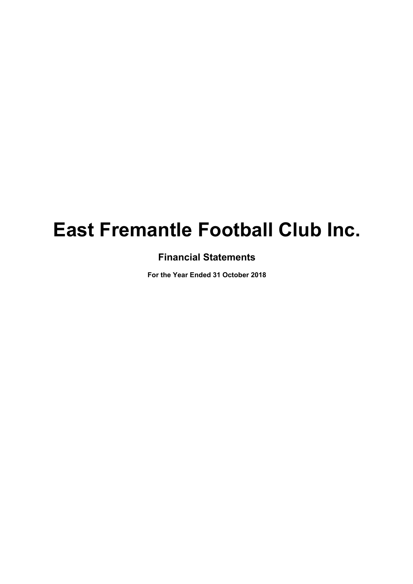# **Financial Statements**

**For the Year Ended 31 October 2018**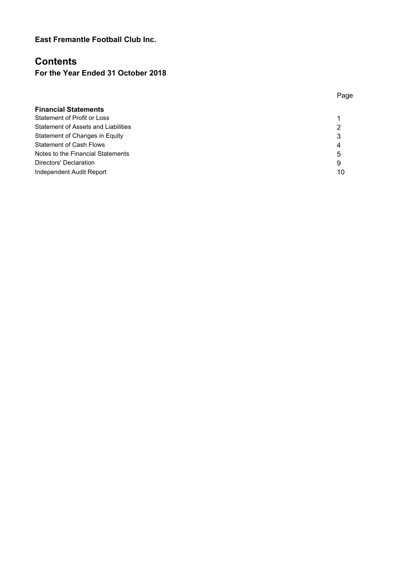# **Contents**

# **For the Year Ended 31 October 2018**

| <b>Financial Statements</b>         |    |
|-------------------------------------|----|
| Statement of Profit or Loss         |    |
| Statement of Assets and Liabilities | 2  |
| Statement of Changes in Equity      | 3  |
| <b>Statement of Cash Flows</b>      | 4  |
| Notes to the Financial Statements   | 5  |
| Directors' Declaration              | 9  |
| Independent Audit Report            | 10 |
|                                     |    |

Page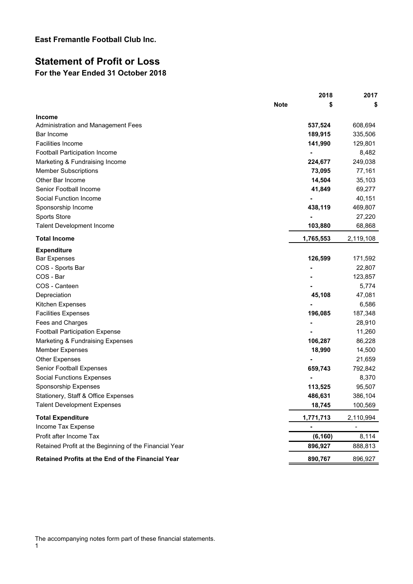# **Statement of Profit or Loss For the Year Ended 31 October 2018**

|                                                        |             | 2018      | 2017      |
|--------------------------------------------------------|-------------|-----------|-----------|
|                                                        | <b>Note</b> | \$        | S         |
| Income                                                 |             |           |           |
| Administration and Management Fees                     |             | 537,524   | 608,694   |
| Bar Income                                             |             | 189,915   | 335,506   |
| <b>Facilities Income</b>                               |             | 141,990   | 129,801   |
| Football Participation Income                          |             | -         | 8,482     |
| Marketing & Fundraising Income                         |             | 224,677   | 249,038   |
| <b>Member Subscriptions</b>                            |             | 73,095    | 77,161    |
| Other Bar Income                                       |             | 14,504    | 35,103    |
| Senior Football Income                                 |             | 41,849    | 69,277    |
| Social Function Income                                 |             |           | 40,151    |
| Sponsorship Income                                     |             | 438,119   | 469,807   |
| Sports Store                                           |             |           | 27,220    |
| <b>Talent Development Income</b>                       |             | 103,880   | 68,868    |
| <b>Total Income</b>                                    |             | 1,765,553 | 2,119,108 |
| <b>Expenditure</b>                                     |             |           |           |
| <b>Bar Expenses</b>                                    |             | 126,599   | 171,592   |
| COS - Sports Bar                                       |             |           | 22,807    |
| COS - Bar                                              |             |           | 123,857   |
| COS - Canteen                                          |             |           | 5,774     |
| Depreciation                                           |             | 45,108    | 47,081    |
| Kitchen Expenses                                       |             |           | 6,586     |
| <b>Facilities Expenses</b>                             |             | 196,085   | 187,348   |
| Fees and Charges                                       |             |           | 28,910    |
| <b>Football Participation Expense</b>                  |             |           | 11,260    |
| Marketing & Fundraising Expenses                       |             | 106,287   | 86,228    |
| <b>Member Expenses</b>                                 |             | 18,990    | 14,500    |
| <b>Other Expenses</b>                                  |             |           | 21,659    |
| Senior Football Expenses                               |             | 659,743   | 792,842   |
| <b>Social Functions Expenses</b>                       |             |           | 8,370     |
| Sponsorship Expenses                                   |             | 113,525   | 95,507    |
| Stationery, Staff & Office Expenses                    |             | 486,631   | 386,104   |
| <b>Talent Development Expenses</b>                     |             | 18,745    | 100,569   |
| <b>Total Expenditure</b>                               |             | 1,771,713 | 2,110,994 |
| Income Tax Expense                                     |             |           |           |
| Profit after Income Tax                                |             | (6, 160)  | 8,114     |
| Retained Profit at the Beginning of the Financial Year |             | 896,927   | 888,813   |
| Retained Profits at the End of the Financial Year      |             | 890,767   | 896,927   |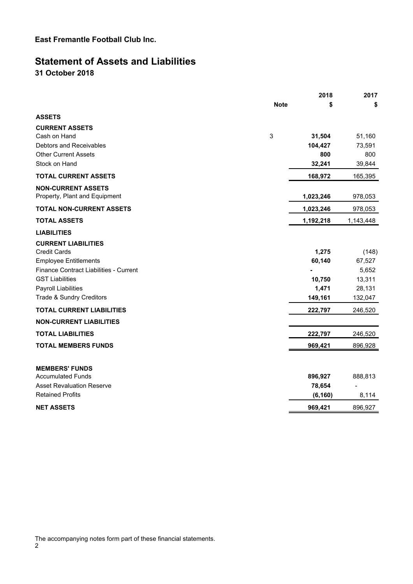# **Statement of Assets and Liabilities**

**31 October 2018**

|                                                                  |             | 2018              | 2017              |
|------------------------------------------------------------------|-------------|-------------------|-------------------|
|                                                                  | <b>Note</b> | \$                | \$                |
| <b>ASSETS</b>                                                    |             |                   |                   |
| <b>CURRENT ASSETS</b><br>Cash on Hand<br>Debtors and Receivables | 3           | 31,504<br>104,427 | 51,160<br>73,591  |
| <b>Other Current Assets</b>                                      |             | 800               | 800               |
| Stock on Hand                                                    |             | 32,241            | 39,844            |
| <b>TOTAL CURRENT ASSETS</b>                                      |             | 168,972           | 165,395           |
| <b>NON-CURRENT ASSETS</b><br>Property, Plant and Equipment       |             | 1,023,246         | 978,053           |
| <b>TOTAL NON-CURRENT ASSETS</b>                                  |             | 1,023,246         | 978,053           |
| <b>TOTAL ASSETS</b>                                              |             | 1,192,218         | 1,143,448         |
| <b>LIABILITIES</b>                                               |             |                   |                   |
| <b>CURRENT LIABILITIES</b><br><b>Credit Cards</b>                |             | 1,275             | (148)             |
| <b>Employee Entitlements</b>                                     |             | 60,140            | 67,527            |
| Finance Contract Liabilities - Current                           |             |                   | 5,652             |
| <b>GST Liabilities</b>                                           |             | 10,750            | 13,311            |
| <b>Payroll Liabilities</b><br>Trade & Sundry Creditors           |             | 1,471<br>149,161  | 28,131<br>132,047 |
| <b>TOTAL CURRENT LIABILITIES</b>                                 |             | 222,797           | 246,520           |
| <b>NON-CURRENT LIABILITIES</b>                                   |             |                   |                   |
| <b>TOTAL LIABILITIES</b>                                         |             | 222,797           | 246,520           |
| <b>TOTAL MEMBERS FUNDS</b>                                       |             | 969,421           | 896,928           |
| <b>MEMBERS' FUNDS</b><br><b>Accumulated Funds</b>                |             | 896,927           | 888,813           |
| <b>Asset Revaluation Reserve</b>                                 |             | 78,654            |                   |
| <b>Retained Profits</b>                                          |             | (6, 160)          | 8,114             |
| <b>NET ASSETS</b>                                                |             | 969,421           | 896,927           |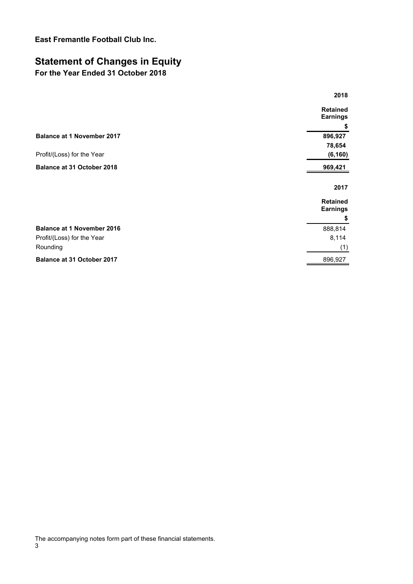# **Statement of Changes in Equity**

# **For the Year Ended 31 October 2018**

| 2018                               |
|------------------------------------|
| <b>Retained</b><br><b>Earnings</b> |
| \$                                 |
| 896,927                            |
| 78,654                             |
| (6, 160)                           |
| 969,421                            |
| 2017                               |
| <b>Retained</b><br><b>Earnings</b> |
| \$                                 |
| 888,814                            |
| 8,114                              |
| (1)                                |
| 896,927                            |
|                                    |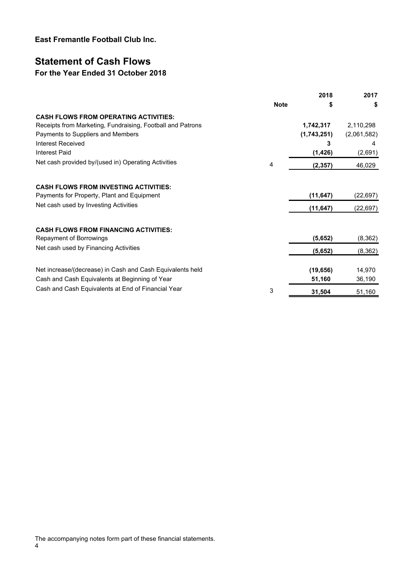# **Statement of Cash Flows**

### **For the Year Ended 31 October 2018**

|                                                            |             | 2018        | 2017        |
|------------------------------------------------------------|-------------|-------------|-------------|
|                                                            | <b>Note</b> | \$          | \$          |
| <b>CASH FLOWS FROM OPERATING ACTIVITIES:</b>               |             |             |             |
| Receipts from Marketing, Fundraising, Football and Patrons |             | 1,742,317   | 2,110,298   |
| Payments to Suppliers and Members                          |             | (1,743,251) | (2,061,582) |
| Interest Received                                          |             | 3           | 4           |
| <b>Interest Paid</b>                                       |             | (1, 426)    | (2,691)     |
| Net cash provided by/(used in) Operating Activities        | 4           | (2, 357)    | 46,029      |
|                                                            |             |             |             |
| <b>CASH FLOWS FROM INVESTING ACTIVITIES:</b>               |             |             |             |
| Payments for Property, Plant and Equipment                 |             | (11, 647)   | (22, 697)   |
| Net cash used by Investing Activities                      |             | (11, 647)   | (22, 697)   |
|                                                            |             |             |             |
| <b>CASH FLOWS FROM FINANCING ACTIVITIES:</b>               |             |             |             |
| Repayment of Borrowings                                    |             | (5,652)     | (8,362)     |
| Net cash used by Financing Activities                      |             | (5,652)     | (8, 362)    |
|                                                            |             |             |             |
| Net increase/(decrease) in Cash and Cash Equivalents held  |             | (19, 656)   | 14,970      |
| Cash and Cash Equivalents at Beginning of Year             |             | 51,160      | 36,190      |
| Cash and Cash Equivalents at End of Financial Year         | 3           | 31,504      | 51,160      |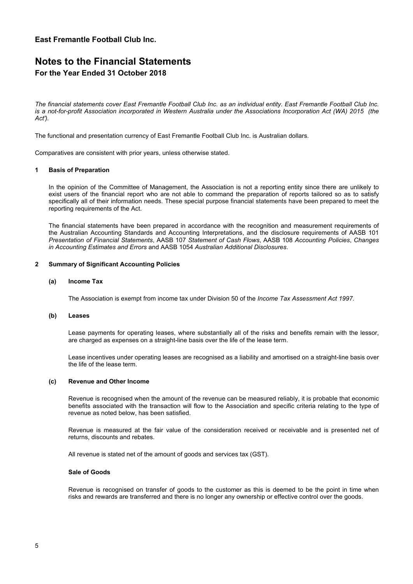# **Notes to the Financial Statements For the Year Ended 31 October 2018**

*The financial statements cover East Fremantle Football Club Inc. as an individual entity. East Fremantle Football Club Inc. is a not-for-profit Association incorporated in Western Australia under the Associations Incorporation Act (WA) 2015 (the Act').*

The functional and presentation currency of East Fremantle Football Club Inc. is Australian dollars.

Comparatives are consistent with prior years, unless otherwise stated.

#### **1 Basis of Preparation**

In the opinion of the Committee of Management, the Association is not a reporting entity since there are unlikely to exist users of the financial report who are not able to command the preparation of reports tailored so as to satisfy specifically all of their information needs. These special purpose financial statements have been prepared to meet the reporting requirements of the Act.

The financial statements have been prepared in accordance with the recognition and measurement requirements of the Australian Accounting Standards and Accounting Interpretations, and the disclosure requirements of AASB 101 *Presentation of Financial Statements*, AASB 107 *Statement of Cash Flows*, AASB 108 *Accounting Policies*, *Changes in Accounting Estimates and Errors* and AASB 1054 *Australian Additional Disclosures*.

#### **2 Summary of Significant Accounting Policies**

#### **(a) Income Tax**

The Association is exempt from income tax under Division 50 of the *Income Tax Assessment Act 1997*.

#### **(b) Leases**

Lease payments for operating leases, where substantially all of the risks and benefits remain with the lessor, are charged as expenses on a straight-line basis over the life of the lease term.

Lease incentives under operating leases are recognised as a liability and amortised on a straight-line basis over the life of the lease term.

#### **(c) Revenue and Other Income**

Revenue is recognised when the amount of the revenue can be measured reliably, it is probable that economic benefits associated with the transaction will flow to the Association and specific criteria relating to the type of revenue as noted below, has been satisfied.

Revenue is measured at the fair value of the consideration received or receivable and is presented net of returns, discounts and rebates.

All revenue is stated net of the amount of goods and services tax (GST).

#### **Sale of Goods**

Revenue is recognised on transfer of goods to the customer as this is deemed to be the point in time when risks and rewards are transferred and there is no longer any ownership or effective control over the goods.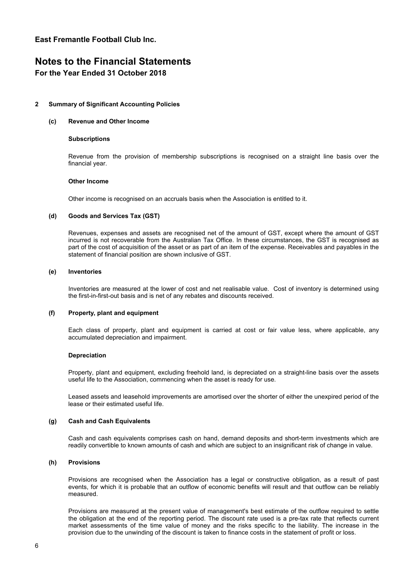### **Notes to the Financial Statements For the Year Ended 31 October 2018**

# **2 Summary of Significant Accounting Policies**

#### **(c) Revenue and Other Income**

#### **Subscriptions**

Revenue from the provision of membership subscriptions is recognised on a straight line basis over the financial year.

#### **Other Income**

Other income is recognised on an accruals basis when the Association is entitled to it.

#### **(d) Goods and Services Tax (GST)**

Revenues, expenses and assets are recognised net of the amount of GST, except where the amount of GST incurred is not recoverable from the Australian Tax Office. In these circumstances, the GST is recognised as part of the cost of acquisition of the asset or as part of an item of the expense. Receivables and payables in the statement of financial position are shown inclusive of GST.

#### **(e) Inventories**

Inventories are measured at the lower of cost and net realisable value. Cost of inventory is determined using the first-in-first-out basis and is net of any rebates and discounts received.

#### **(f) Property, plant and equipment**

Each class of property, plant and equipment is carried at cost or fair value less, where applicable, any accumulated depreciation and impairment.

#### **Depreciation**

Property, plant and equipment, excluding freehold land, is depreciated on a straight-line basis over the assets useful life to the Association, commencing when the asset is ready for use.

Leased assets and leasehold improvements are amortised over the shorter of either the unexpired period of the lease or their estimated useful life.

#### **(g) Cash and Cash Equivalents**

Cash and cash equivalents comprises cash on hand, demand deposits and short-term investments which are readily convertible to known amounts of cash and which are subject to an insignificant risk of change in value.

#### **(h) Provisions**

Provisions are recognised when the Association has a legal or constructive obligation, as a result of past events, for which it is probable that an outflow of economic benefits will result and that outflow can be reliably measured.

Provisions are measured at the present value of management's best estimate of the outflow required to settle the obligation at the end of the reporting period. The discount rate used is a pre-tax rate that reflects current market assessments of the time value of money and the risks specific to the liability. The increase in the provision due to the unwinding of the discount is taken to finance costs in the statement of profit or loss.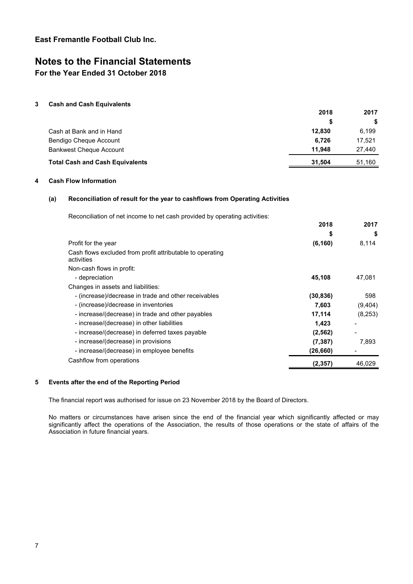# **Notes to the Financial Statements**

**For the Year Ended 31 October 2018**

#### **3 Cash and Cash Equivalents**

|                                        | 2018   | 2017   |
|----------------------------------------|--------|--------|
|                                        | S      | S.     |
| Cash at Bank and in Hand               | 12.830 | 6.199  |
| Bendigo Cheque Account                 | 6.726  | 17.521 |
| <b>Bankwest Cheque Account</b>         | 11.948 | 27.440 |
| <b>Total Cash and Cash Equivalents</b> | 31.504 | 51,160 |

#### **4 Cash Flow Information**

#### **(a) Reconciliation of result for the year to cashflows from Operating Activities**

| Reconciliation of net income to net cash provided by operating activities: |           |         |
|----------------------------------------------------------------------------|-----------|---------|
|                                                                            | 2018      | 2017    |
|                                                                            | S         | \$      |
| Profit for the year                                                        | (6, 160)  | 8,114   |
| Cash flows excluded from profit attributable to operating<br>activities    |           |         |
| Non-cash flows in profit:                                                  |           |         |
| - depreciation                                                             | 45,108    | 47,081  |
| Changes in assets and liabilities:                                         |           |         |
| - (increase)/decrease in trade and other receivables                       | (30, 836) | 598     |
| - (increase)/decrease in inventories                                       | 7,603     | (9,404) |
| - increase/(decrease) in trade and other payables                          | 17,114    | (8,253) |
| - increase/(decrease) in other liabilities                                 | 1,423     |         |
| - increase/(decrease) in deferred taxes payable                            | (2, 562)  |         |
| - increase/(decrease) in provisions                                        | (7, 387)  | 7,893   |
| - increase/(decrease) in employee benefits                                 | (26, 660) |         |
| Cashflow from operations                                                   | (2,357)   | 46,029  |

#### **5 Events after the end of the Reporting Period**

The financial report was authorised for issue on 23 November 2018 by the Board of Directors.

No matters or circumstances have arisen since the end of the financial year which significantly affected or may significantly affect the operations of the Association, the results of those operations or the state of affairs of the Association in future financial years.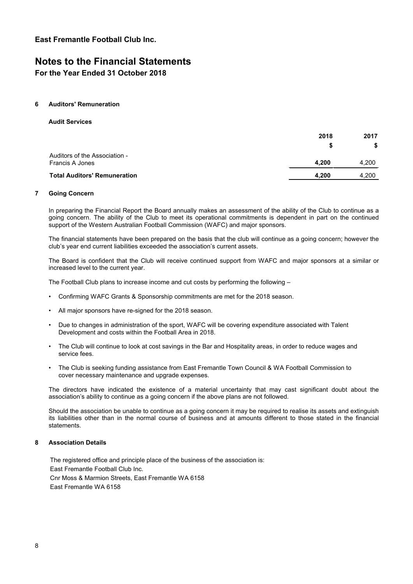### **Notes to the Financial Statements For the Year Ended 31 October 2018**

#### **6 Auditors' Remuneration**

**Audit Services**

|                                                  | 2018  | 2017  |
|--------------------------------------------------|-------|-------|
|                                                  |       | \$    |
| Auditors of the Association -<br>Francis A Jones | 4.200 | 4.200 |
| <b>Total Auditors' Remuneration</b>              | 4.200 | 4.200 |

#### **7 Going Concern**

In preparing the Financial Report the Board annually makes an assessment of the ability of the Club to continue as a going concern. The ability of the Club to meet its operational commitments is dependent in part on the continued support of the Western Australian Football Commission (WAFC) and major sponsors.

The financial statements have been prepared on the basis that the club will continue as a going concern; however the club's year end current liabilities exceeded the association's current assets.

The Board is confident that the Club will receive continued support from WAFC and major sponsors at a similar or increased level to the current year.

The Football Club plans to increase income and cut costs by performing the following –

- Confirming WAFC Grants & Sponsorship commitments are met for the 2018 season.
- All major sponsors have re-signed for the 2018 season.
- Due to changes in administration of the sport, WAFC will be covering expenditure associated with Talent Development and costs within the Football Area in 2018.
- The Club will continue to look at cost savings in the Bar and Hospitality areas, in order to reduce wages and service fees.
- The Club is seeking funding assistance from East Fremantle Town Council & WA Football Commission to cover necessary maintenance and upgrade expenses.

The directors have indicated the existence of a material uncertainty that may cast significant doubt about the association's ability to continue as a going concern if the above plans are not followed.

Should the association be unable to continue as a going concern it may be required to realise its assets and extinguish its liabilities other than in the normal course of business and at amounts different to those stated in the financial statements.

#### **8 Association Details**

The registered office and principle place of the business of the association is: East Fremantle Football Club Inc. Cnr Moss & Marmion Streets, East Fremantle WA 6158 East Fremantle WA 6158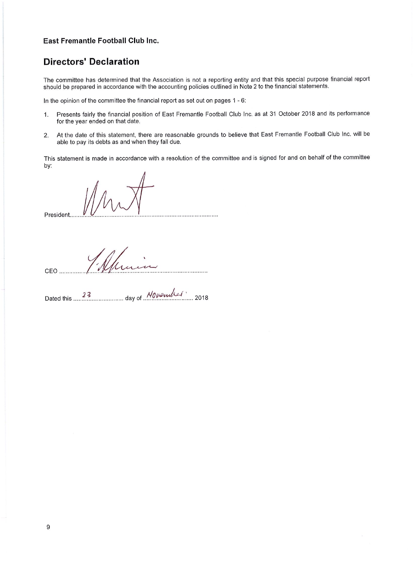### **Directors' Declaration**

The committee has determined that the Association is not a reporting entity and that this special purpose financial report should be prepared in accordance with the accounting policies outlined in Note 2 to the financial statements.

In the opinion of the committee the financial report as set out on pages 1 - 6:

- Presents fairly the financial position of East Fremantle Football Club Inc. as at 31 October 2018 and its performance  $1.$ for the year ended on that date.
- At the date of this statement, there are reasonable grounds to believe that East Fremantle Football Club Inc. will be  $2.$ able to pay its debts as and when they fall due.

This statement is made in accordance with a resolution of the committee and is signed for and on behalf of the committee by:

President.... 

CEO ..............

day of *Nowender* Dated this 23 2018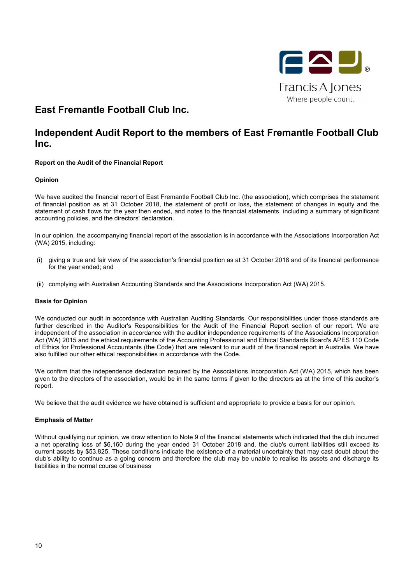

# **Independent Audit Report to the members of East Fremantle Football Club Inc.**

#### **Report on the Audit of the Financial Report**

#### **Opinion**

We have audited the financial report of East Fremantle Football Club Inc. (the association), which comprises the statement of financial position as at 31 October 2018, the statement of profit or loss, the statement of changes in equity and the statement of cash flows for the year then ended, and notes to the financial statements, including a summary of significant accounting policies, and the directors' declaration.

In our opinion, the accompanying financial report of the association is in accordance with the Associations Incorporation Act (WA) 2015, including:

- (i) giving a true and fair view of the association's financial position as at 31 October 2018 and of its financial performance for the year ended; and
- (ii) complying with Australian Accounting Standards and the Associations Incorporation Act (WA) 2015.

#### **Basis for Opinion**

We conducted our audit in accordance with Australian Auditing Standards. Our responsibilities under those standards are further described in the Auditor's Responsibilities for the Audit of the Financial Report section of our report. We are independent of the association in accordance with the auditor independence requirements of the Associations Incorporation Act (WA) 2015 and the ethical requirements of the Accounting Professional and Ethical Standards Board's APES 110 Code of Ethics for Professional Accountants (the Code) that are relevant to our audit of the financial report in Australia. We have also fulfilled our other ethical responsibilities in accordance with the Code.

We confirm that the independence declaration required by the Associations Incorporation Act (WA) 2015, which has been given to the directors of the association, would be in the same terms if given to the directors as at the time of this auditor's report.

We believe that the audit evidence we have obtained is sufficient and appropriate to provide a basis for our opinion.

#### **Emphasis of Matter**

Without qualifying our opinion, we draw attention to Note 9 of the financial statements which indicated that the club incurred a net operating loss of \$6,160 during the year ended 31 October 2018 and, the club's current liabilities still exceed its current assets by \$53,825. These conditions indicate the existence of a material uncertainty that may cast doubt about the club's ability to continue as a going concern and therefore the club may be unable to realise its assets and discharge its liabilities in the normal course of business